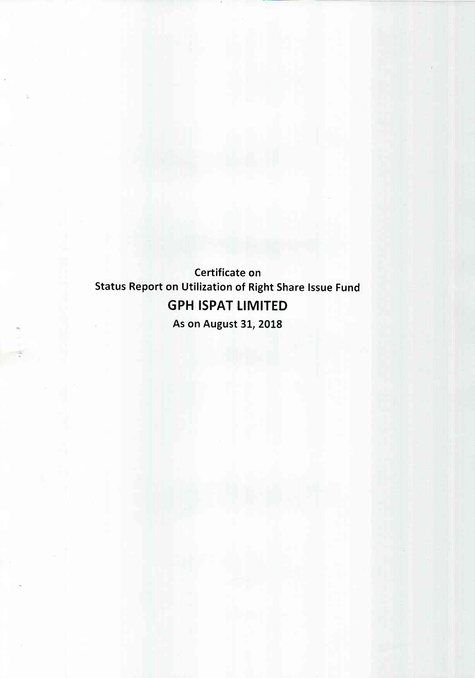Certificate on **Status Report on Utilization of Right Share Issue Fund GPH ISPAT LIMITED** As on August 31, 2018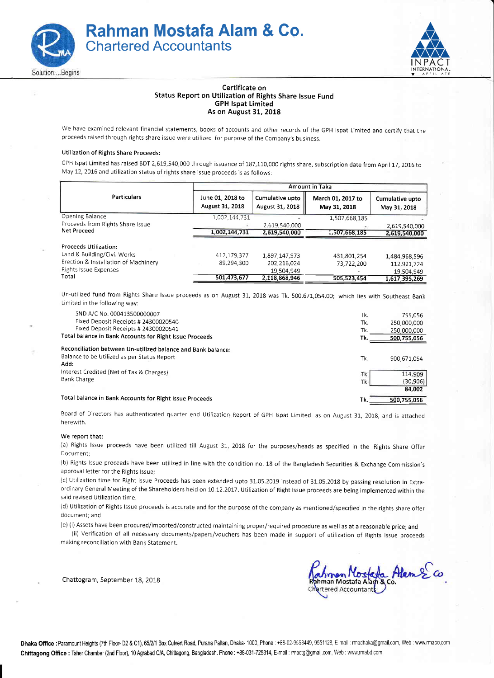



## Certificate on Status Report on Utilization of Rights Share lssue Fund **GPH Ispat Limited** As on August 31, 2018

We have examined relevant financial statements, books of accounts and other records of the GpH lspat Limited and certify that the proceeds raised through rights share issue were utilized for purpose ofthe Company's business.

## Utilization of Rights Share Proceeds:

GPH lspat Limited has raised BDT 2,619,540,000 through issuance of 187,110,000 rights share, subscription date from April 17, 2016 to May 12, 2016 and utilization status of rights share issue proceeds is as follows:

|                                      |                                     |                                    | <b>Amount in Taka</b>             |                                 |
|--------------------------------------|-------------------------------------|------------------------------------|-----------------------------------|---------------------------------|
| <b>Particulars</b>                   | June 01, 2018 to<br>August 31, 2018 | Cumulative upto<br>August 31, 2018 | March 01, 2017 to<br>May 31, 2018 | Cumulative upto<br>May 31, 2018 |
| Opening Balance                      | 1,002,144,731                       |                                    | 1,507,668.185                     |                                 |
| Proceeds from Rights Share Issue     |                                     | 2,619,540,000                      |                                   | 2,619,540,000                   |
| Net Proceed                          | 1,002,144,731                       | 2,619,540,000                      | 1,507,668,185                     | 2,619,540,000                   |
| <b>Proceeds Utilization:</b>         |                                     |                                    |                                   |                                 |
| Land & Building/Civil Works          | 412,179,377                         | 1,897,147,973                      | 431,801,254                       | 1,484,968,596                   |
| Erection & Installation of Machinery | 89,294,300                          | 202,216.024                        | 73,722,200                        | 112,921,724                     |
| Rights Issue Expenses                |                                     | 19,504,949                         |                                   | 19,504,949                      |
| Total                                | 501.473.677                         | 2,118,868,946                      | 505,523,454                       | 1,617,395,269                   |

Un-utilized fund from Rights Share lssue proceeds as on August 3L, 20L8 was Tk. 500,671,054.00; which lies with Southeast Bank Limited in the following way:

| SND A/C No: 000413500000007                                  | Tk. | 755.056     |
|--------------------------------------------------------------|-----|-------------|
| Fixed Deposit Receipts # 24300020540                         | Tk. | 250,000,000 |
| Fixed Deposit Receipts # 24300020541                         | Tk. | 250,000,000 |
| Total balance in Bank Accounts for Right Issue Proceeds      | Tk. | 500,755,056 |
| Reconciliation between Un-utilized balance and Bank balance: |     |             |
| Balance to be Utilized as per Status Report                  | Tk. | 500,671,054 |
| Add:                                                         |     |             |
| Interest Credited (Net of Tax & Charges)                     | Tk. | 114.909     |
| Bank Charge                                                  | Tk. | (30, 906)   |
|                                                              |     | 84,002      |
| Total balance in Bank Accounts for Right Issue Proceeds      | Tk. | 500.755.056 |

Board of Directors has authenticated quarter end Utilization Report of GPH Ispat Limited as on August 31, 2018, and is attached herewith.

## We report that:

(a) Rights Issue proceeds have been utilized till August 31, 2018 for the purposes/heads as specified in the Rights Share Offer Document;

(b) Rights Issue proceeds have been utilized in line with the condition no. 18 of the Bangladesh Securities & Exchange Commission's approval letter for the Rights lssue;

(c) Utilization time for Right issue Proceeds has been extended upto 31.05.2019 instead of 31.05.2018 by passing resolution in Extraordinary General Meeting of the Shareholders held on 10.12.2017. Utilization of Right issue proceeds are being implemented within the said revised Utilization time.

(d) Utilization of Rights Issue proceeds is accurate and for the purpose of the company as mentioned/specified in the rights share offer document; and

(e) (i) Assets have been procured/imported/constructed maintaining proper/required procedure as well as at a reasonable price; and

(ii) Verification of all necessary documents/papers/vouchers has been made in support of utilization of Rights lssue proceeds making reconciliation with Bank Statement.

Chattogram, September 18, 2018

Annen Nostata Alem 2 Co.<br>nman Mostata Alam 8 co.<br>Irtered Accountant tered Accountant

**Dhaka Office :**Paramount Heights (7th Floor-D2 & C1), 65/2/1 Box Culvert Road, Purana Paltan, Dhaka- 1000. Phone : +88-02-9553449, 9551128, E-mail ∶rmadhaka@gmail.com, Web ∶www.rmabd.com Ch**ittagong Office :** Taher Chamber (2nd Floor), 10 Agrabad C/A, Chittagong, Bangladesh. Phone : +88-031-725314, E-mail : rmactg@gmail.com, Web : www.rmabd.com